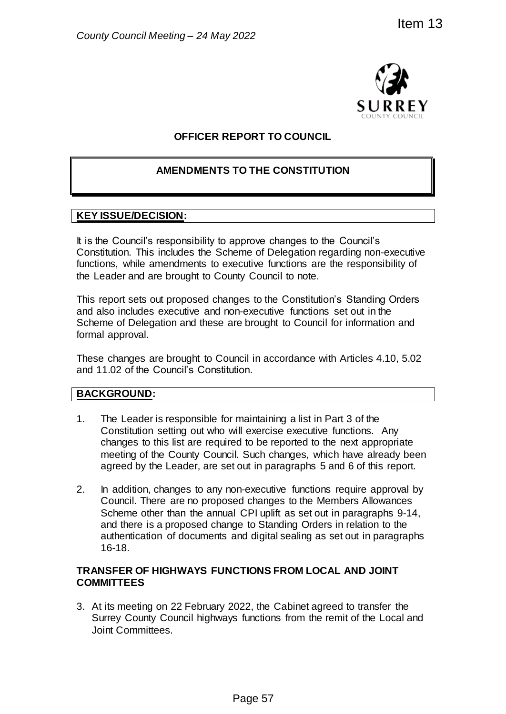

# **OFFICER REPORT TO COUNCIL**

## **AMENDMENTS TO THE CONSTITUTION**

## **KEY ISSUE/DECISION:**

It is the Council's responsibility to approve changes to the Council's Constitution. This includes the Scheme of Delegation regarding non-executive functions, while amendments to executive functions are the responsibility of the Leader and are brought to County Council to note.

This report sets out proposed changes to the Constitution's Standing Orders and also includes executive and non-executive functions set out in the Scheme of Delegation and these are brought to Council for information and formal approval.

These changes are brought to Council in accordance with Articles 4.10, 5.02 and 11.02 of the Council's Constitution.

### **BACKGROUND:**

- 1. The Leader is responsible for maintaining a list in Part 3 of the Constitution setting out who will exercise executive functions. Any changes to this list are required to be reported to the next appropriate meeting of the County Council. Such changes, which have already been agreed by the Leader, are set out in paragraphs 5 and 6 of this report.
- 2. In addition, changes to any non-executive functions require approval by Council. There are no proposed changes to the Members Allowances Scheme other than the annual CPI uplift as set out in paragraphs 9-14, and there is a proposed change to Standing Orders in relation to the authentication of documents and digital sealing as set out in paragraphs 16-18. From 13<br>
SURREY<br>
SURREY<br>
FORT TO COUNCIL<br>
TO THE CONSTITUTION<br>
TO THE CONSTITUTION<br>
Approve changes to the Council's<br>
energie of Delegation regarding non-executive<br>
thy Council to note.<br>
thy Council to note.<br>
They Council

### **TRANSFER OF HIGHWAYS FUNCTIONS FROM LOCAL AND JOINT COMMITTEES**

3. At its meeting on 22 February 2022, the Cabinet agreed to transfer the Surrey County Council highways functions from the remit of the Local and Joint Committees.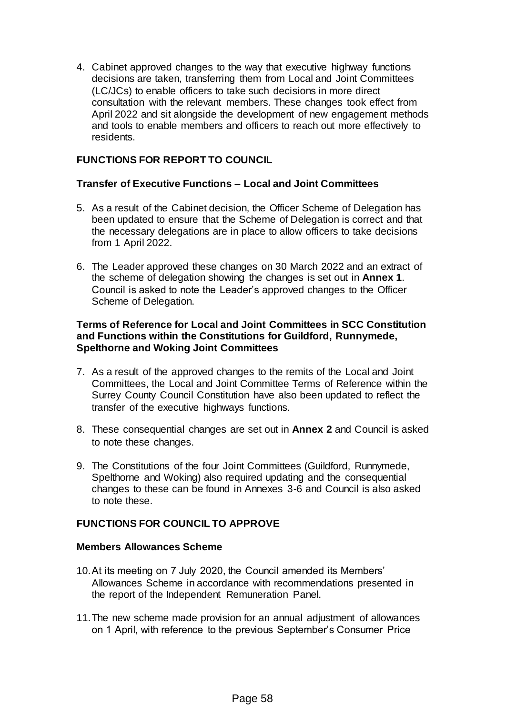4. Cabinet approved changes to the way that executive highway functions decisions are taken, transferring them from Local and Joint Committees (LC/JCs) to enable officers to take such decisions in more direct consultation with the relevant members. These changes took effect from April 2022 and sit alongside the development of new engagement methods and tools to enable members and officers to reach out more effectively to residents.

## **FUNCTIONS FOR REPORT TO COUNCIL**

### **Transfer of Executive Functions – Local and Joint Committees**

- 5. As a result of the Cabinet decision, the Officer Scheme of Delegation has been updated to ensure that the Scheme of Delegation is correct and that the necessary delegations are in place to allow officers to take decisions from 1 April 2022.
- 6. The Leader approved these changes on 30 March 2022 and an extract of the scheme of delegation showing the changes is set out in **Annex 1**. Council is asked to note the Leader's approved changes to the Officer Scheme of Delegation.

### **Terms of Reference for Local and Joint Committees in SCC Constitution and Functions within the Constitutions for Guildford, Runnymede, Spelthorne and Woking Joint Committees**

- 7. As a result of the approved changes to the remits of the Local and Joint Committees, the Local and Joint Committee Terms of Reference within the Surrey County Council Constitution have also been updated to reflect the transfer of the executive highways functions.
- 8. These consequential changes are set out in **Annex 2** and Council is asked to note these changes.
- 9. The Constitutions of the four Joint Committees (Guildford, Runnymede, Spelthorne and Woking) also required updating and the consequential changes to these can be found in Annexes 3-6 and Council is also asked to note these.

### **FUNCTIONS FOR COUNCIL TO APPROVE**

#### **Members Allowances Scheme**

- 10.At its meeting on 7 July 2020, the Council amended its Members' Allowances Scheme in accordance with recommendations presented in the report of the Independent Remuneration Panel.
- 11.The new scheme made provision for an annual adjustment of allowances on 1 April, with reference to the previous September's Consumer Price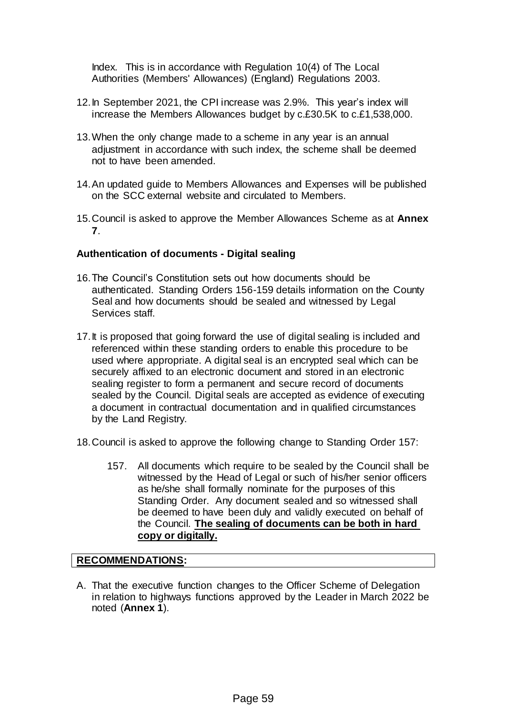Index. This is in accordance with Regulation 10(4) of The Local Authorities (Members' Allowances) (England) Regulations 2003.

- 12.In September 2021, the CPI increase was 2.9%. This year's index will increase the Members Allowances budget by c.£30.5K to c.£1,538,000.
- 13.When the only change made to a scheme in any year is an annual adjustment in accordance with such index, the scheme shall be deemed not to have been amended.
- 14.An updated guide to Members Allowances and Expenses will be published on the SCC external website and circulated to Members.
- 15.Council is asked to approve the Member Allowances Scheme as at **Annex 7**.

### **Authentication of documents - Digital sealing**

- 16.The Council's Constitution sets out how documents should be authenticated. Standing Orders 156-159 details information on the County Seal and how documents should be sealed and witnessed by Legal Services staff.
- 17. It is proposed that going forward the use of digital sealing is included and referenced within these standing orders to enable this procedure to be used where appropriate. A digital seal is an encrypted seal which can be securely affixed to an electronic document and stored in an electronic sealing register to form a permanent and secure record of documents sealed by the Council. Digital seals are accepted as evidence of executing a document in contractual documentation and in qualified circumstances by the Land Registry.
- 18.Council is asked to approve the following change to Standing Order 157:
	- 157. All documents which require to be sealed by the Council shall be witnessed by the Head of Legal or such of his/her senior officers as he/she shall formally nominate for the purposes of this Standing Order. Any document sealed and so witnessed shall be deemed to have been duly and validly executed on behalf of the Council. **The sealing of documents can be both in hard copy or digitally.**

### **RECOMMENDATIONS:**

A. That the executive function changes to the Officer Scheme of Delegation in relation to highways functions approved by the Leader in March 2022 be noted (**Annex 1**).